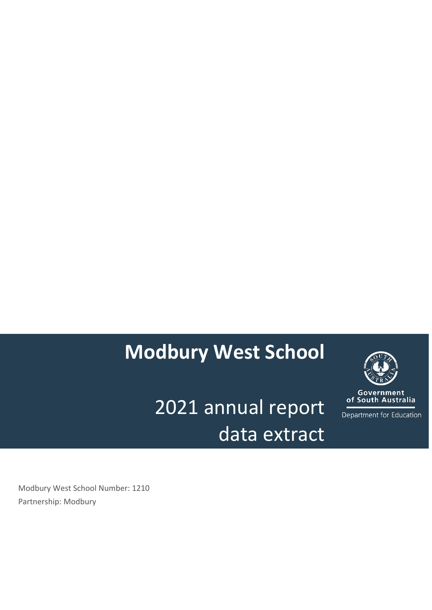# **Modbury West School**

2021 annual report data extract



**Government**<br>of South Australia

Department for Education

Modbury West School Number: 1210 Partnership: Modbury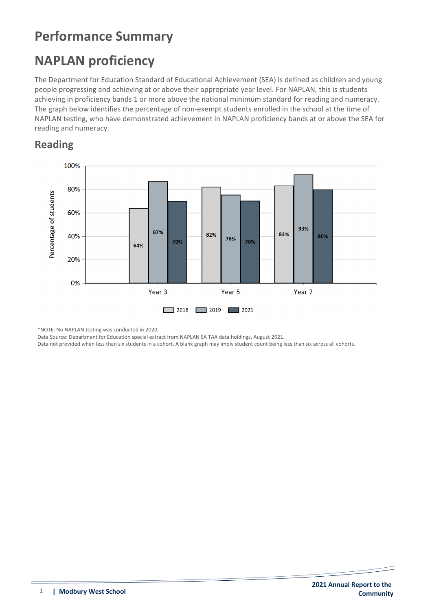### **Performance Summary**

### **NAPLAN proficiency**

The Department for Education Standard of Educational Achievement (SEA) is defined as children and young people progressing and achieving at or above their appropriate year level. For NAPLAN, this is students achieving in proficiency bands 1 or more above the national minimum standard for reading and numeracy. The graph below identifies the percentage of non-exempt students enrolled in the school at the time of NAPLAN testing, who have demonstrated achievement in NAPLAN proficiency bands at or above the SEA for reading and numeracy.

#### **Reading**



\*NOTE: No NAPLAN testing was conducted in 2020.

Data Source: Department for Education special extract from NAPLAN SA TAA data holdings, August 2021.

Data not provided when less than six students in a cohort. A blank graph may imply student count being less than six across all cohorts.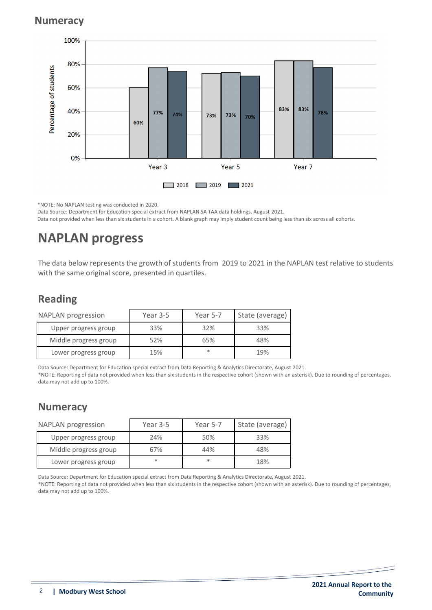#### **Numeracy**



\*NOTE: No NAPLAN testing was conducted in 2020. Data Source: Department for Education special extract from NAPLAN SA TAA data holdings, August 2021. Data not provided when less than six students in a cohort. A blank graph may imply student count being less than six across all cohorts.

### **NAPLAN progress**

The data below represents the growth of students from 2019 to 2021 in the NAPLAN test relative to students with the same original score, presented in quartiles.

### **Reading**

| <b>NAPLAN</b> progression | Year 3-5 | Year 5-7 | State (average) |
|---------------------------|----------|----------|-----------------|
| Upper progress group      | 33%      | 32%      | 33%             |
| Middle progress group     | 52%      | 65%      | 48%             |
| Lower progress group      | 15%      | $\ast$   | 19%             |

Data Source: Department for Education special extract from Data Reporting & Analytics Directorate, August 2021. \*NOTE: Reporting of data not provided when less than six students in the respective cohort (shown with an asterisk). Due to rounding of percentages, data may not add up to 100%.

#### **Numeracy**

| <b>NAPLAN</b> progression | Year 3-5 | Year 5-7 | State (average) |
|---------------------------|----------|----------|-----------------|
| Upper progress group      | 24%      | 50%      | 33%             |
| Middle progress group     | 67%      | 44%      | 48%             |
| Lower progress group      | $\ast$   | $\ast$   | 18%             |

Data Source: Department for Education special extract from Data Reporting & Analytics Directorate, August 2021.

\*NOTE: Reporting of data not provided when less than six students in the respective cohort (shown with an asterisk). Due to rounding of percentages, data may not add up to 100%.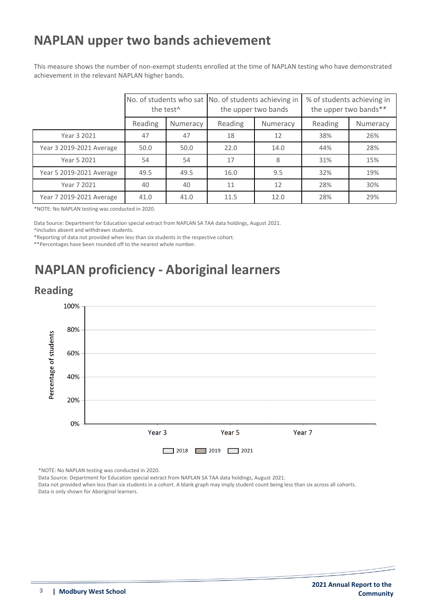### **NAPLAN upper two bands achievement**

This measure shows the number of non-exempt students enrolled at the time of NAPLAN testing who have demonstrated achievement in the relevant NAPLAN higher bands.

|                          | the test <sup>^</sup> |          | No. of students who sat No. of students achieving in<br>the upper two bands |          | % of students achieving in<br>the upper two bands** |          |
|--------------------------|-----------------------|----------|-----------------------------------------------------------------------------|----------|-----------------------------------------------------|----------|
|                          | Reading               | Numeracy | Reading                                                                     | Numeracy | Reading                                             | Numeracy |
| Year 3 2021              | 47                    | 47       | 18                                                                          | 12       | 38%                                                 | 26%      |
| Year 3 2019-2021 Average | 50.0                  | 50.0     | 22.0                                                                        | 14.0     | 44%                                                 | 28%      |
| Year 5 2021              | 54                    | 54       | 17                                                                          | 8        | 31%                                                 | 15%      |
| Year 5 2019-2021 Average | 49.5                  | 49.5     | 16.0                                                                        | 9.5      | 32%                                                 | 19%      |
| Year 7 2021              | 40                    | 40       | 11                                                                          | 12       | 28%                                                 | 30%      |
| Year 7 2019-2021 Average | 41.0                  | 41.0     | 11.5                                                                        | 12.0     | 28%                                                 | 29%      |

\*NOTE: No NAPLAN testing was conducted in 2020.

Data Source: Department for Education special extract from NAPLAN SA TAA data holdings, August 2021.

^includes absent and withdrawn students.

\*Reporting of data not provided when less than six students in the respective cohort.

\*\*Percentages have been rounded off to the nearest whole number.

## **NAPLAN proficiency - Aboriginal learners**

#### **Reading**



\*NOTE: No NAPLAN testing was conducted in 2020.

Data Source: Department for Education special extract from NAPLAN SA TAA data holdings, August 2021.

Data not provided when less than six students in a cohort. A blank graph may imply student count being less than six across all cohorts. Data is only shown for Aboriginal learners.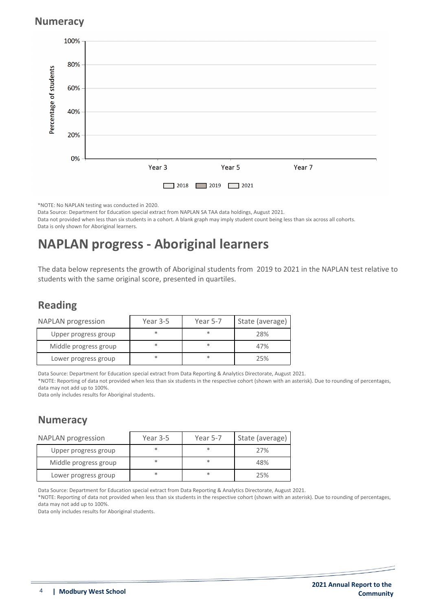#### **Numeracy**



\*NOTE: No NAPLAN testing was conducted in 2020. Data Source: Department for Education special extract from NAPLAN SA TAA data holdings, August 2021.

Data not provided when less than six students in a cohort. A blank graph may imply student count being less than six across all cohorts. Data is only shown for Aboriginal learners.

### **NAPLAN progress - Aboriginal learners**

The data below represents the growth of Aboriginal students from 2019 to 2021 in the NAPLAN test relative to students with the same original score, presented in quartiles.

#### **Reading**

| <b>NAPLAN</b> progression | Year 3-5 | Year 5-7 | State (average) |
|---------------------------|----------|----------|-----------------|
| Upper progress group      |          | $\ast$   | 28%             |
| Middle progress group     |          | $\ast$   | 47%             |
| Lower progress group      |          | $\ast$   | 25%             |

Data Source: Department for Education special extract from Data Reporting & Analytics Directorate, August 2021.

\*NOTE: Reporting of data not provided when less than six students in the respective cohort (shown with an asterisk). Due to rounding of percentages, data may not add up to 100%.

Data only includes results for Aboriginal students.

#### **Numeracy**

| <b>NAPLAN</b> progression | Year 3-5 | Year 5-7 | State (average) |
|---------------------------|----------|----------|-----------------|
| Upper progress group      |          | $\ast$   | 27%             |
| Middle progress group     |          | $\ast$   | 48%             |
| Lower progress group      |          | $\ast$   | 25%             |

Data Source: Department for Education special extract from Data Reporting & Analytics Directorate, August 2021.

\*NOTE: Reporting of data not provided when less than six students in the respective cohort (shown with an asterisk). Due to rounding of percentages, data may not add up to 100%.

Data only includes results for Aboriginal students.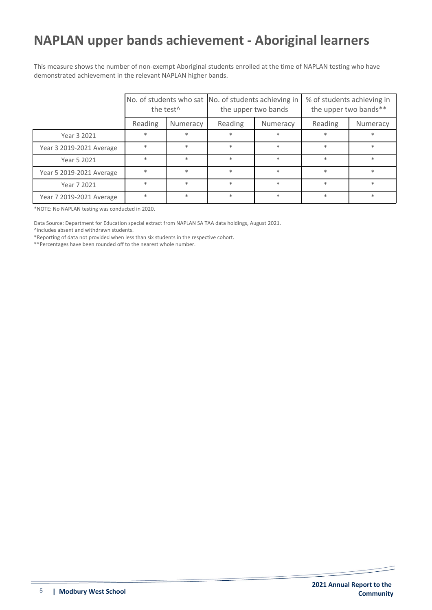### **NAPLAN upper bands achievement - Aboriginal learners**

This measure shows the number of non-exempt Aboriginal students enrolled at the time of NAPLAN testing who have demonstrated achievement in the relevant NAPLAN higher bands.

|                          | the test <sup>^</sup> |          | No. of students who sat No. of students achieving in<br>the upper two bands |          | % of students achieving in<br>the upper two bands** |          |
|--------------------------|-----------------------|----------|-----------------------------------------------------------------------------|----------|-----------------------------------------------------|----------|
|                          | Reading               | Numeracy | Reading                                                                     | Numeracy | Reading                                             | Numeracy |
| Year 3 2021              | $*$                   | $\ast$   | $\ast$                                                                      | $\ast$   | $\ast$                                              | $\ast$   |
| Year 3 2019-2021 Average | $\ast$                | $\ast$   | $\ast$                                                                      | $\ast$   | $\ast$                                              | $\ast$   |
| Year 5 2021              | $\ast$                | $\ast$   | $\ast$                                                                      | $\ast$   | $\ast$                                              | $\ast$   |
| Year 5 2019-2021 Average | $\ast$                | $\ast$   | $\ast$                                                                      | $\ast$   | $\ast$                                              | $\ast$   |
| Year 7 2021              | $\ast$                | $\ast$   | $\ast$                                                                      | $\ast$   | $\ast$                                              | $\ast$   |
| Year 7 2019-2021 Average | $\ast$                | $\ast$   | $\ast$                                                                      | $\ast$   | $\ast$                                              | $\ast$   |

\*NOTE: No NAPLAN testing was conducted in 2020.

Data Source: Department for Education special extract from NAPLAN SA TAA data holdings, August 2021.

^includes absent and withdrawn students.

\*Reporting of data not provided when less than six students in the respective cohort.

\*\*Percentages have been rounded off to the nearest whole number.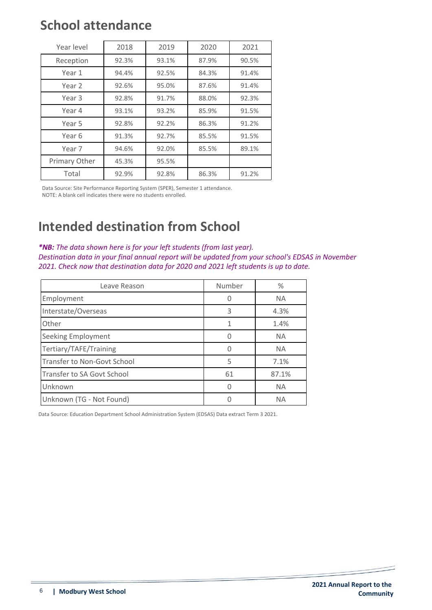### **School attendance**

| Year level    | 2018  | 2019  | 2020  | 2021  |
|---------------|-------|-------|-------|-------|
| Reception     | 92.3% | 93.1% | 87.9% | 90.5% |
| Year 1        | 94.4% | 92.5% | 84.3% | 91.4% |
| Year 2        | 92.6% | 95.0% | 87.6% | 91.4% |
| Year 3        | 92.8% | 91.7% | 88.0% | 92.3% |
| Year 4        | 93.1% | 93.2% | 85.9% | 91.5% |
| Year 5        | 92.8% | 92.2% | 86.3% | 91.2% |
| Year 6        | 91.3% | 92.7% | 85.5% | 91.5% |
| Year 7        | 94.6% | 92.0% | 85.5% | 89.1% |
| Primary Other | 45.3% | 95.5% |       |       |
| Total         | 92.9% | 92.8% | 86.3% | 91.2% |

Data Source: Site Performance Reporting System (SPER), Semester 1 attendance. NOTE: A blank cell indicates there were no students enrolled.

### **Intended destination from School**

*\*NB: The data shown here is for your left students (from last year). Destination data in your final annual report will be updated from your school's EDSAS in November 2021. Check now that destination data for 2020 and 2021 left students is up to date.*

| Leave Reason                | Number | $\%$      |
|-----------------------------|--------|-----------|
| Employment                  |        | <b>NA</b> |
| Interstate/Overseas         | 3      | 4.3%      |
| Other                       | 1      | 1.4%      |
| <b>Seeking Employment</b>   |        | <b>NA</b> |
| Tertiary/TAFE/Training      |        | <b>NA</b> |
| Transfer to Non-Govt School | 5      | 7.1%      |
| Transfer to SA Govt School  | 61     | 87.1%     |
| Unknown                     |        | <b>NA</b> |
| Unknown (TG - Not Found)    |        | <b>NA</b> |

Data Source: Education Department School Administration System (EDSAS) Data extract Term 3 2021.